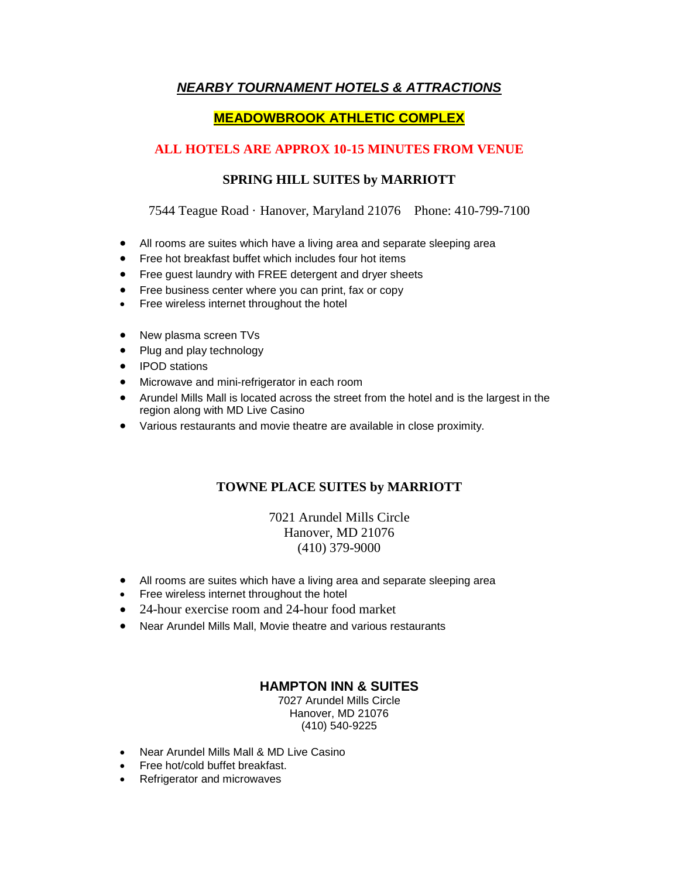# *NEARBY TOURNAMENT HOTELS & ATTRACTIONS*

# **MEADOWBROOK ATHLETIC COMPLEX**

# **ALL HOTELS ARE APPROX 10-15 MINUTES FROM VENUE**

## **SPRING HILL SUITES by MARRIOTT**

7544 Teague Road · Hanover, Maryland 21076 Phone: 410-799-7100

- All rooms are suites which have a living area and separate sleeping area
- Free hot breakfast buffet which includes four hot items
- Free guest laundry with FREE detergent and dryer sheets
- Free business center where you can print, fax or copy
- Free wireless internet throughout the hotel
- New plasma screen TVs
- Plug and play technology
- IPOD stations
- Microwave and mini-refrigerator in each room
- Arundel Mills Mall is located across the street from the hotel and is the largest in the region along with MD Live Casino
- Various restaurants and movie theatre are available in close proximity.

### **TOWNE PLACE SUITES by MARRIOTT**

### 7021 Arundel Mills Circle Hanover, MD 21076 (410) 379-9000

- All rooms are suites which have a living area and separate sleeping area
- Free wireless internet throughout the hotel
- 24-hour exercise room and 24-hour food market
- Near Arundel Mills Mall, Movie theatre and various restaurants

### **HAMPTON INN & SUITES**

7027 Arundel Mills Circle Hanover, MD 21076 (410) 540-9225

- Near Arundel Mills Mall & MD Live Casino
- Free hot/cold buffet breakfast.
- Refrigerator and microwaves